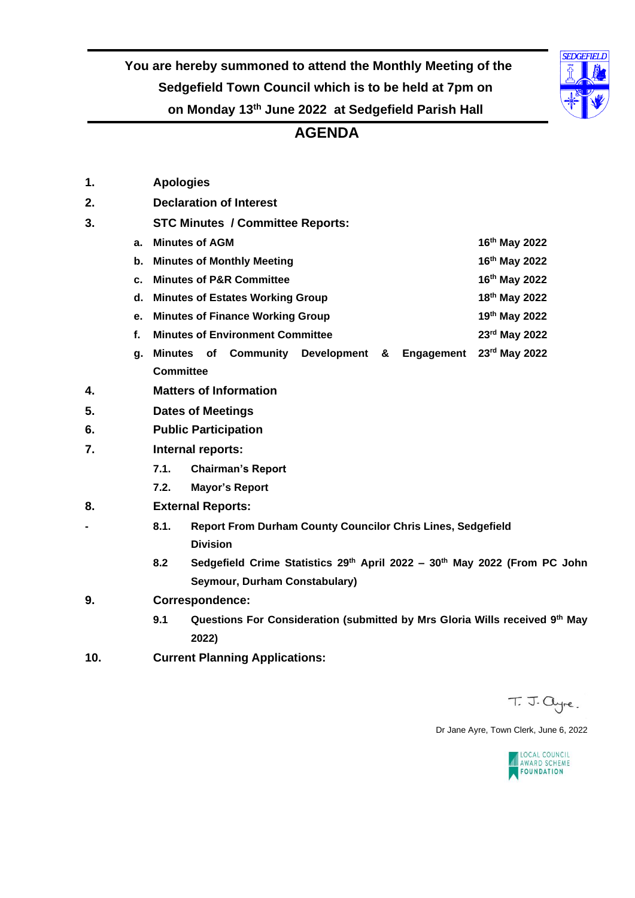**You are hereby summoned to attend the Monthly Meeting of the Sedgefield Town Council which is to be held at 7pm on on Monday 13 th June 2022 at Sedgefield Parish Hall**

#### **AGENDA**

| 1.  |    | <b>Apologies</b>                                                                   |                          |                                         |                    |   |                   |                           |  |  |
|-----|----|------------------------------------------------------------------------------------|--------------------------|-----------------------------------------|--------------------|---|-------------------|---------------------------|--|--|
| 2.  |    | <b>Declaration of Interest</b>                                                     |                          |                                         |                    |   |                   |                           |  |  |
| 3.  |    |                                                                                    |                          | <b>STC Minutes / Committee Reports:</b> |                    |   |                   |                           |  |  |
|     | a. | <b>Minutes of AGM</b>                                                              |                          |                                         |                    |   |                   | 16 <sup>th</sup> May 2022 |  |  |
|     | b. | <b>Minutes of Monthly Meeting</b>                                                  |                          |                                         |                    |   |                   | 16th May 2022             |  |  |
|     | c. | <b>Minutes of P&amp;R Committee</b>                                                |                          |                                         |                    |   |                   | 16th May 2022             |  |  |
|     | d. | <b>Minutes of Estates Working Group</b>                                            |                          |                                         |                    |   |                   | 18th May 2022             |  |  |
|     | е. | <b>Minutes of Finance Working Group</b>                                            | 19th May 2022            |                                         |                    |   |                   |                           |  |  |
|     | f. | <b>Minutes of Environment Committee</b>                                            |                          |                                         |                    |   |                   | 23rd May 2022             |  |  |
|     | g. | Minutes of                                                                         |                          | <b>Community</b>                        | <b>Development</b> | & | <b>Engagement</b> | 23rd May 2022             |  |  |
|     |    | <b>Committee</b>                                                                   |                          |                                         |                    |   |                   |                           |  |  |
| 4.  |    |                                                                                    |                          | <b>Matters of Information</b>           |                    |   |                   |                           |  |  |
| 5.  |    | <b>Dates of Meetings</b>                                                           |                          |                                         |                    |   |                   |                           |  |  |
| 6.  |    | <b>Public Participation</b>                                                        |                          |                                         |                    |   |                   |                           |  |  |
| 7.  |    | Internal reports:                                                                  |                          |                                         |                    |   |                   |                           |  |  |
|     |    | 7.1.                                                                               |                          | <b>Chairman's Report</b>                |                    |   |                   |                           |  |  |
|     |    | 7.2.                                                                               |                          | <b>Mayor's Report</b>                   |                    |   |                   |                           |  |  |
| 8.  |    |                                                                                    | <b>External Reports:</b> |                                         |                    |   |                   |                           |  |  |
|     |    | 8.1.<br>Report From Durham County Councilor Chris Lines, Sedgefield                |                          |                                         |                    |   |                   |                           |  |  |
|     |    |                                                                                    | <b>Division</b>          |                                         |                    |   |                   |                           |  |  |
|     |    | 8.2<br>Sedgefield Crime Statistics 29th April 2022 - 30th May 2022 (From PC John   |                          |                                         |                    |   |                   |                           |  |  |
|     |    | Seymour, Durham Constabulary)                                                      |                          |                                         |                    |   |                   |                           |  |  |
| 9.  |    | <b>Correspondence:</b>                                                             |                          |                                         |                    |   |                   |                           |  |  |
|     |    | 9.1<br>Questions For Consideration (submitted by Mrs Gloria Wills received 9th May |                          |                                         |                    |   |                   |                           |  |  |
|     |    | 2022)                                                                              |                          |                                         |                    |   |                   |                           |  |  |
| 10. |    |                                                                                    |                          | <b>Current Planning Applications:</b>   |                    |   |                   |                           |  |  |
|     |    |                                                                                    |                          |                                         |                    |   |                   |                           |  |  |

T. J. ayre.

Dr Jane Ayre, Town Clerk, June 6, 2022



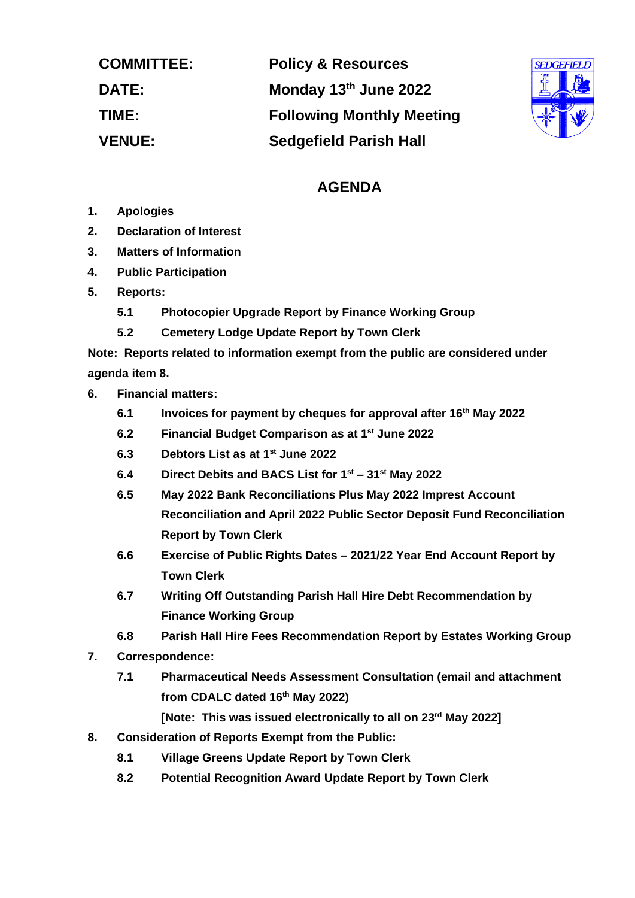| <b>COMMITTEE:</b> | <b>Policy &amp; Resources</b>    |
|-------------------|----------------------------------|
| <b>DATE:</b>      | Monday 13th June 2022            |
| TIME:             | <b>Following Monthly Meeting</b> |
| <b>VENUE:</b>     | <b>Sedgefield Parish Hall</b>    |



# **AGENDA**

- **1. Apologies**
- **2. Declaration of Interest**
- **3. Matters of Information**
- **4. Public Participation**
- **5. Reports:**
	- **5.1 Photocopier Upgrade Report by Finance Working Group**
	- **5.2 Cemetery Lodge Update Report by Town Clerk**

**Note: Reports related to information exempt from the public are considered under agenda item 8.** 

- **6. Financial matters:**
	- **6.1 Invoices for payment by cheques for approval after 16 th May 2022**
	- **6.2 Financial Budget Comparison as at 1 st June 2022**
	- **6.3 Debtors List as at 1 st June 2022**
	- **6.4 Direct Debits and BACS List for 1 st – 31st May 2022**
	- **6.5 May 2022 Bank Reconciliations Plus May 2022 Imprest Account Reconciliation and April 2022 Public Sector Deposit Fund Reconciliation Report by Town Clerk**
	- **6.6 Exercise of Public Rights Dates – 2021/22 Year End Account Report by Town Clerk**
	- **6.7 Writing Off Outstanding Parish Hall Hire Debt Recommendation by Finance Working Group**
	- **6.8 Parish Hall Hire Fees Recommendation Report by Estates Working Group**
- **7. Correspondence:**
	- **7.1 Pharmaceutical Needs Assessment Consultation (email and attachment from CDALC dated 16th May 2022)**
		- **[Note: This was issued electronically to all on 23rd May 2022]**
- **8. Consideration of Reports Exempt from the Public:**
	- **8.1 Village Greens Update Report by Town Clerk**
	- **8.2 Potential Recognition Award Update Report by Town Clerk**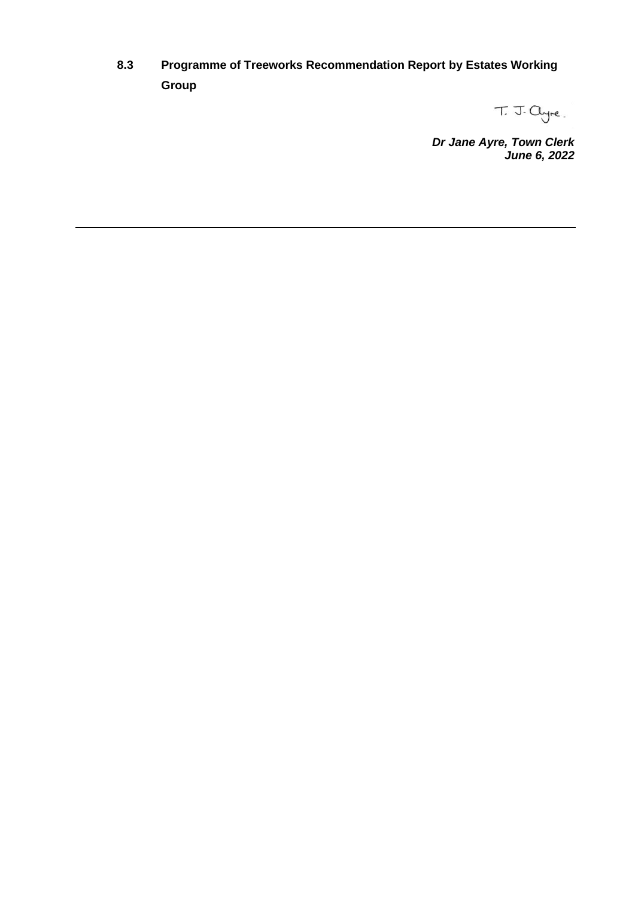**8.3 Programme of Treeworks Recommendation Report by Estates Working Group**

T. J. Cyre.

*Dr Jane Ayre, Town Clerk June 6, 2022*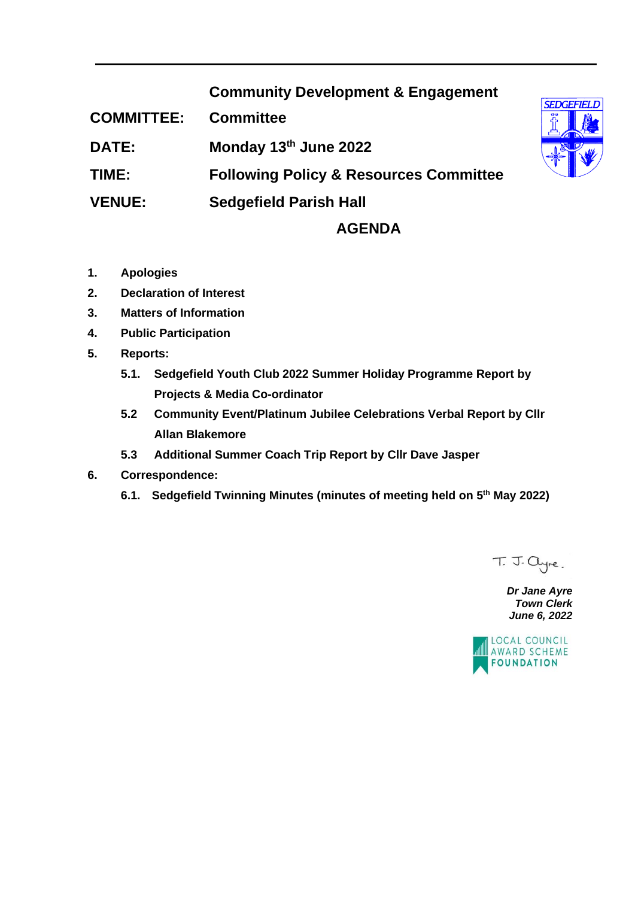# **Community Development & Engagement**

**COMMITTEE: Committee**

**DATE: Monday 13th June 2022**

**TIME: Following Policy & Resources Committee** 

**VENUE: Sedgefield Parish Hall**

### **AGENDA**

- **1. Apologies**
- **2. Declaration of Interest**
- **3. Matters of Information**
- **4. Public Participation**
- **5. Reports:**
	- **5.1. Sedgefield Youth Club 2022 Summer Holiday Programme Report by Projects & Media Co-ordinator**
	- **5.2 Community Event/Platinum Jubilee Celebrations Verbal Report by Cllr Allan Blakemore**
	- **5.3 Additional Summer Coach Trip Report by Cllr Dave Jasper**
- **6. Correspondence:**
	- **6.1. Sedgefield Twinning Minutes (minutes of meeting held on 5th May 2022)**

T. J. ayre.

*Dr Jane Ayre Town Clerk June 6, 2022*